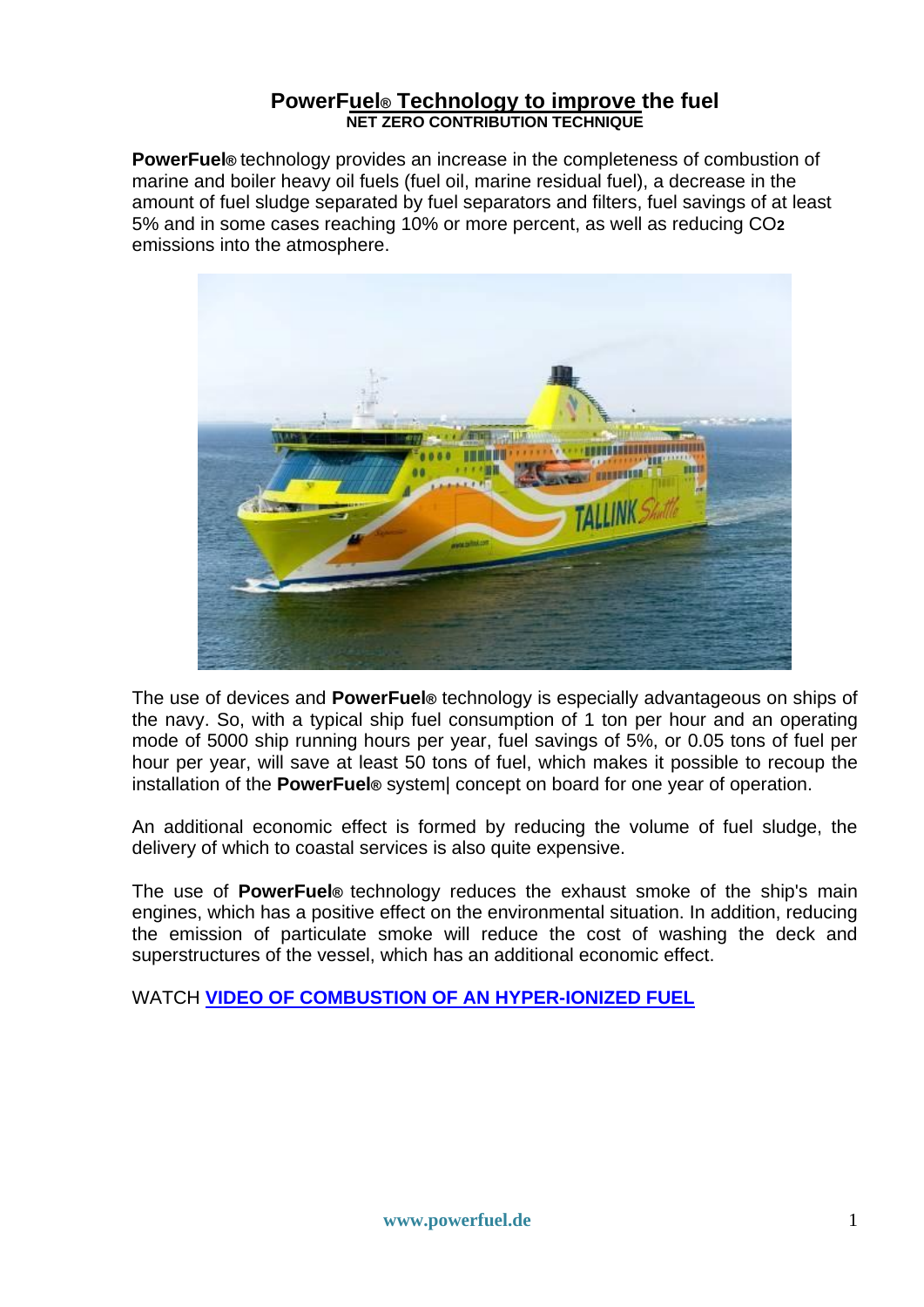## **PowerFuel® Technology to improve the fuel NET ZERO CONTRIBUTION TECHNIQUE**

**PowerFuel®** technology provides an increase in the completeness of combustion of marine and boiler heavy oil fuels (fuel oil, marine residual fuel), a decrease in the amount of fuel sludge separated by fuel separators and filters, fuel savings of at least 5% and in some cases reaching 10% or more percent, as well as reducing CO**2**  emissions into the atmosphere.



The use of devices and **PowerFuel®** technology is especially advantageous on ships of the navy. So, with a typical ship fuel consumption of 1 ton per hour and an operating mode of 5000 ship running hours per year, fuel savings of 5%, or 0.05 tons of fuel per hour per year, will save at least 50 tons of fuel, which makes it possible to recoup the installation of the **PowerFuel®** system| concept on board for one year of operation.

An additional economic effect is formed by reducing the volume of fuel sludge, the delivery of which to coastal services is also quite expensive.

The use of **PowerFuel®** technology reduces the exhaust smoke of the ship's main engines, which has a positive effect on the environmental situation. In addition, reducing the emission of particulate smoke will reduce the cost of washing the deck and superstructures of the vessel, which has an additional economic effect.

WATCH **[VIDEO OF COMBUSTION OF AN HYPER-IONIZED FUEL](https://powerfuel.de/videos/index.html)**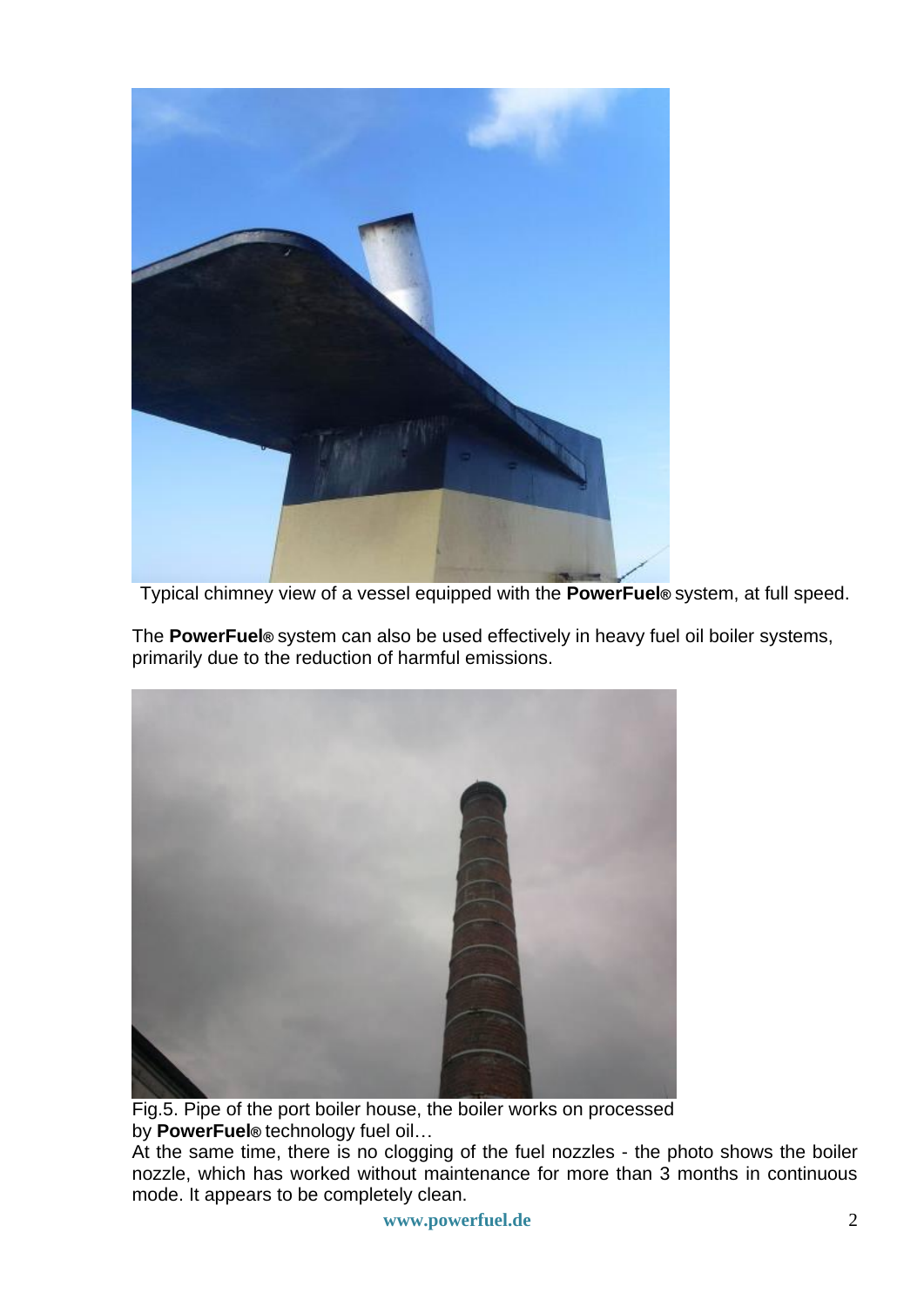

Typical chimney view of a vessel equipped with the **PowerFuel®** system, at full speed.

The **PowerFuel®** system can also be used effectively in heavy fuel oil boiler systems, primarily due to the reduction of harmful emissions.



Fig.5. Pipe of the port boiler house, the boiler works on processed by **PowerFuel®** technology fuel oil…

At the same time, there is no clogging of the fuel nozzles - the photo shows the boiler nozzle, which has worked without maintenance for more than 3 months in continuous mode. It appears to be completely clean.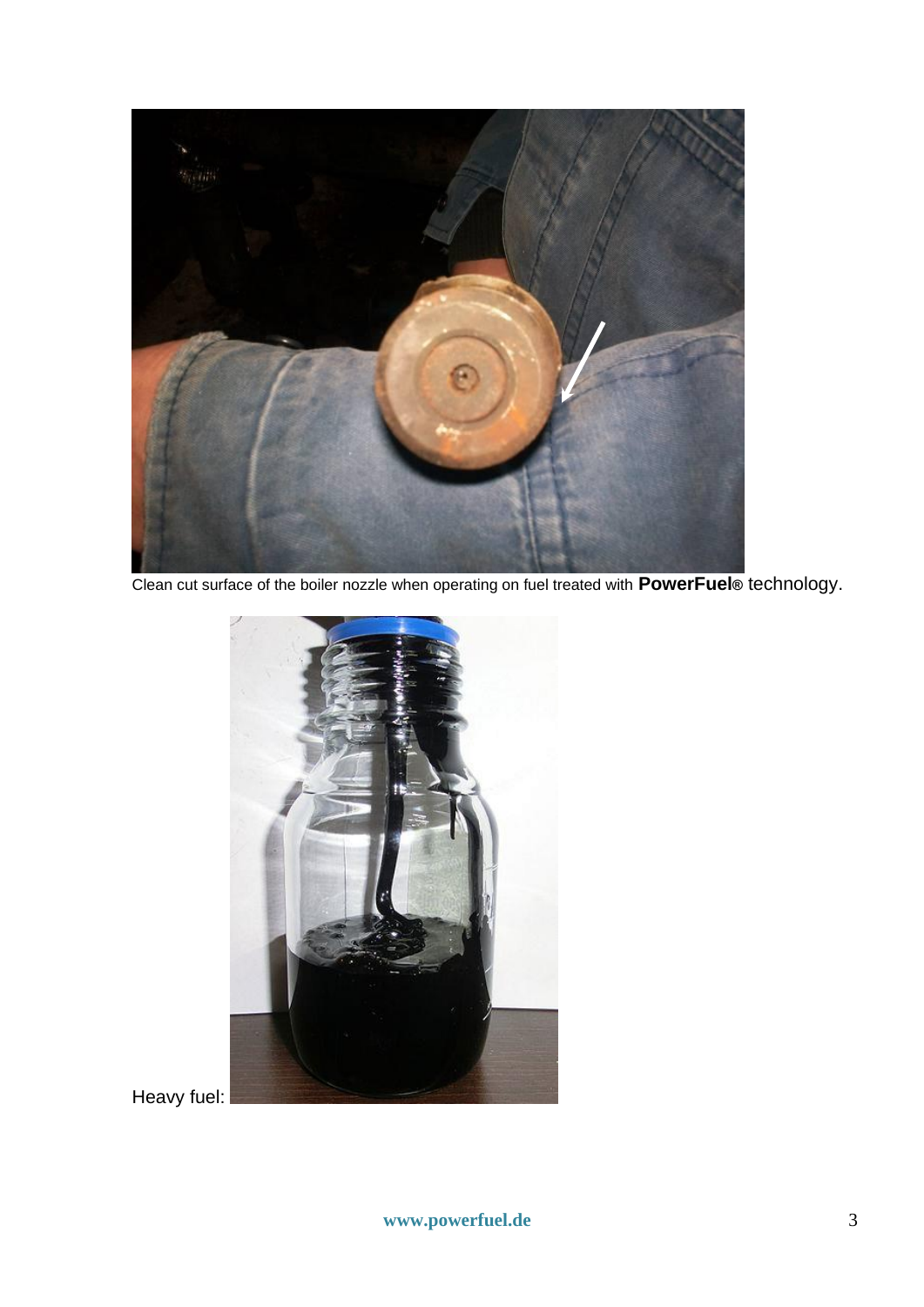

Clean cut surface of the boiler nozzle when operating on fuel treated with **PowerFuel®** technology.



Heavy fuel: